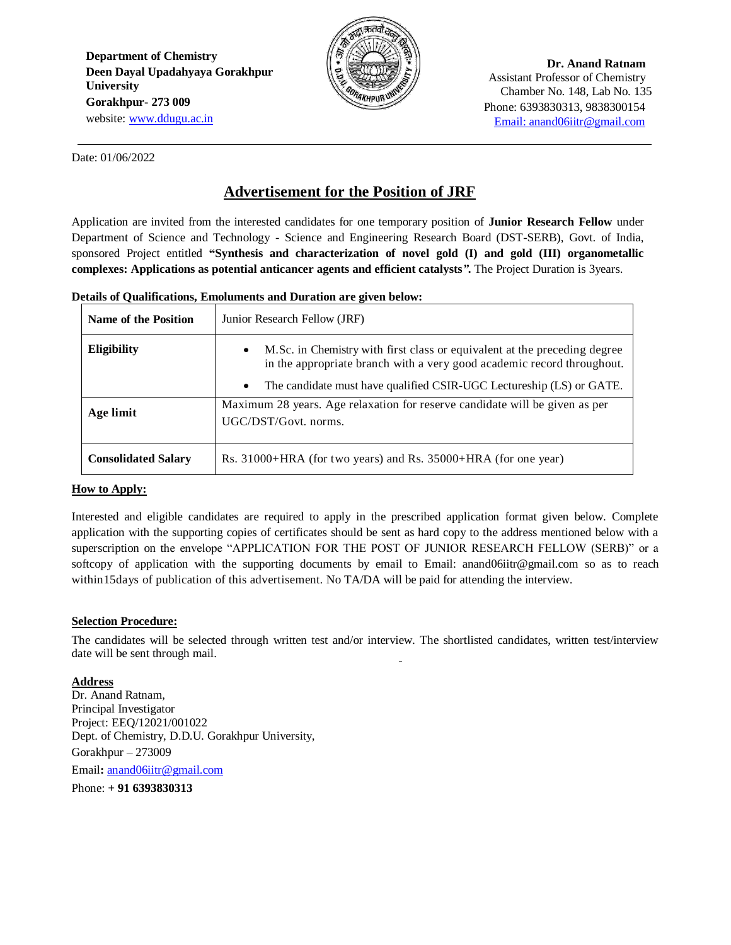**Department of Chemistry Deen Dayal Upadahyaya Gorakhpur University Gorakhpur- 273 009** website: [www.ddugu.ac.in](http://www.ddugu.ac.in/)



**Dr. Anand Ratnam** Assistant Professor of Chemistry Chamber No. 148, Lab No. 135 CHAINPURUM<sup>3</sup>/<br>Phone: 6393830313, 9838300154 [Email: anand06iitr@gmail.com](mailto:Email:%20anand06iitr@gmail.com) 

Date: 01/06/2022

# **Advertisement for the Position of JRF**

Application are invited from the interested candidates for one temporary position of **Junior Research Fellow** under Department of Science and Technology - Science and Engineering Research Board (DST-SERB), Govt. of India, sponsored Project entitled **"Synthesis and characterization of novel gold (I) and gold (III) organometallic complexes: Applications as potential anticancer agents and efficient catalysts***"***.** The Project Duration is 3years.

### **Details of Qualifications, Emoluments and Duration are given below:**

| <b>Name of the Position</b> | Junior Research Fellow (JRF)                                                                                                                                                                                                                          |  |  |
|-----------------------------|-------------------------------------------------------------------------------------------------------------------------------------------------------------------------------------------------------------------------------------------------------|--|--|
| <b>Eligibility</b>          | M.Sc. in Chemistry with first class or equivalent at the preceding degree<br>$\bullet$<br>in the appropriate branch with a very good academic record throughout.<br>The candidate must have qualified CSIR-UGC Lectureship (LS) or GATE.<br>$\bullet$ |  |  |
| Age limit                   | Maximum 28 years. Age relaxation for reserve candidate will be given as per<br>UGC/DST/Govt. norms.                                                                                                                                                   |  |  |
| <b>Consolidated Salary</b>  | Rs. 31000+HRA (for two years) and Rs. 35000+HRA (for one year)                                                                                                                                                                                        |  |  |

## **How to Apply:**

Interested and eligible candidates are required to apply in the prescribed application format given below. Complete application with the supporting copies of certificates should be sent as hard copy to the address mentioned below with a superscription on the envelope "APPLICATION FOR THE POST OF JUNIOR RESEARCH FELLOW (SERB)" or a softcopy of application with the supporting documents by email to Email: anand06iitr@gmail.com so as to reach within15days of publication of this advertisement. No TA/DA will be paid for attending the interview.

## **Selection Procedure:**

The candidates will be selected through written test and/or interview. The shortlisted candidates, written test/interview date will be sent through mail.

## **Address**

Dr. Anand Ratnam, Principal Investigator Project: EEQ/12021/001022 Dept. of Chemistry, D.D.U. Gorakhpur University, Gorakhpur – 273009

Email**:** [anand06iitr@gmail.com](mailto:anand06iitr@gmail.com)

Phone: **+ 91 6393830313**